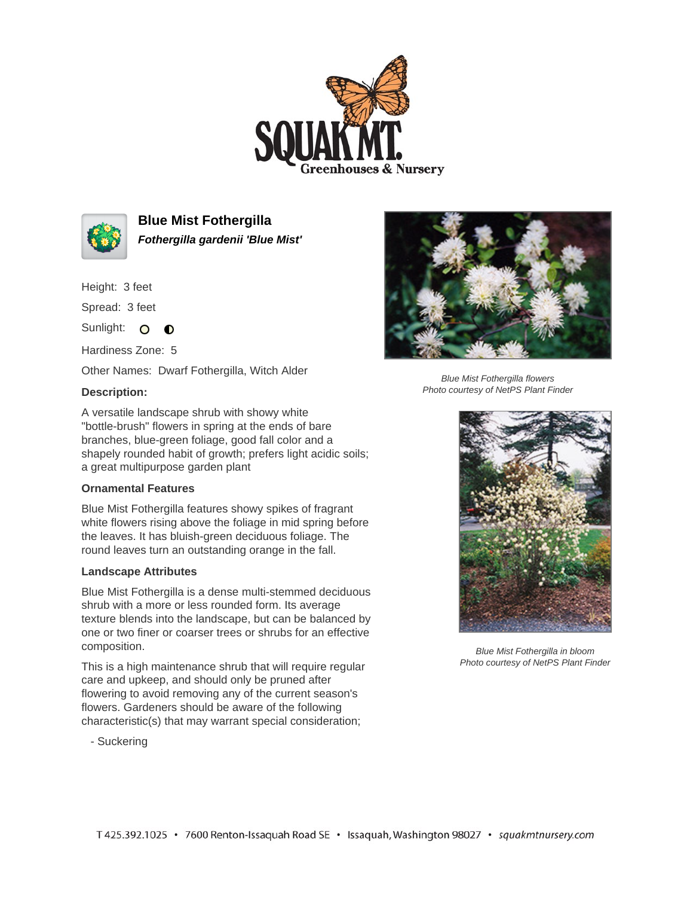



**Blue Mist Fothergilla Fothergilla gardenii 'Blue Mist'**

Height: 3 feet

Spread: 3 feet

Sunlight: O O

Hardiness Zone: 5

Other Names: Dwarf Fothergilla, Witch Alder

## **Description:**

A versatile landscape shrub with showy white "bottle-brush" flowers in spring at the ends of bare branches, blue-green foliage, good fall color and a shapely rounded habit of growth; prefers light acidic soils; a great multipurpose garden plant

## **Ornamental Features**

Blue Mist Fothergilla features showy spikes of fragrant white flowers rising above the foliage in mid spring before the leaves. It has bluish-green deciduous foliage. The round leaves turn an outstanding orange in the fall.

## **Landscape Attributes**

Blue Mist Fothergilla is a dense multi-stemmed deciduous shrub with a more or less rounded form. Its average texture blends into the landscape, but can be balanced by one or two finer or coarser trees or shrubs for an effective composition.

This is a high maintenance shrub that will require regular care and upkeep, and should only be pruned after flowering to avoid removing any of the current season's flowers. Gardeners should be aware of the following characteristic(s) that may warrant special consideration;

- Suckering



Blue Mist Fothergilla flowers Photo courtesy of NetPS Plant Finder



Blue Mist Fothergilla in bloom Photo courtesy of NetPS Plant Finder